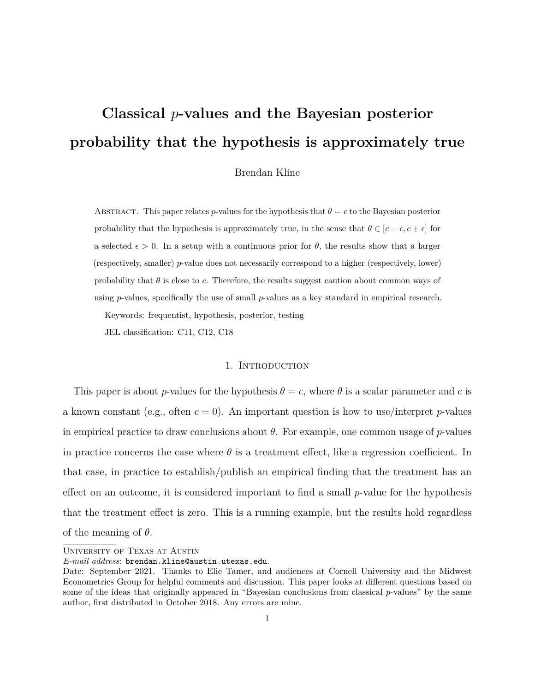# **Classical** *p***-values and the Bayesian posterior probability that the hypothesis is approximately true**

Brendan Kline

ABSTRACT. This paper relates *p*-values for the hypothesis that  $\theta = c$  to the Bayesian posterior probability that the hypothesis is approximately true, in the sense that  $\theta \in [c - \epsilon, c + \epsilon]$  for a selected  $\epsilon > 0$ . In a setup with a continuous prior for  $\theta$ , the results show that a larger (respectively, smaller) *p*-value does not necessarily correspond to a higher (respectively, lower) probability that  $\theta$  is close to *c*. Therefore, the results suggest caution about common ways of using *p*-values, specifically the use of small *p*-values as a key standard in empirical research.

Keywords: frequentist, hypothesis, posterior, testing

JEL classification: C11, C12, C18

# 1. INTRODUCTION

This paper is about *p*-values for the hypothesis  $\theta = c$ , where  $\theta$  is a scalar parameter and *c* is a known constant (e.g., often  $c = 0$ ). An important question is how to use/interpret *p*-values in empirical practice to draw conclusions about *θ*. For example, one common usage of *p*-values in practice concerns the case where  $\theta$  is a treatment effect, like a regression coefficient. In that case, in practice to establish/publish an empirical finding that the treatment has an effect on an outcome, it is considered important to find a small *p*-value for the hypothesis that the treatment effect is zero. This is a running example, but the results hold regardless of the meaning of *θ*.

University of Texas at Austin

*E-mail address*: brendan.kline@austin.utexas.edu.

Date: September 2021. Thanks to Elie Tamer, and audiences at Cornell University and the Midwest Econometrics Group for helpful comments and discussion. This paper looks at different questions based on some of the ideas that originally appeared in "Bayesian conclusions from classical *p*-values" by the same author, first distributed in October 2018. Any errors are mine.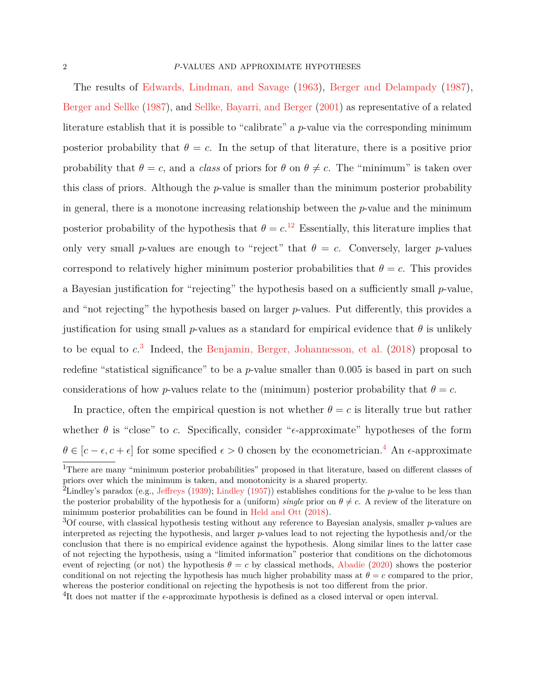The results of [Edwards, Lindman, and Savage](#page-20-0) [\(1963\)](#page-20-0), [Berger and Delampady](#page-20-1) [\(1987\)](#page-20-1), [Berger and Sellke](#page-20-2) [\(1987\)](#page-20-2), and [Sellke, Bayarri, and Berger](#page-21-0) [\(2001\)](#page-21-0) as representative of a related literature establish that it is possible to "calibrate" a *p*-value via the corresponding minimum posterior probability that  $\theta = c$ . In the setup of that literature, there is a positive prior probability that  $\theta = c$ , and a *class* of priors for  $\theta$  on  $\theta \neq c$ . The "minimum" is taken over this class of priors. Although the *p*-value is smaller than the minimum posterior probability in general, there is a monotone increasing relationship between the *p*-value and the minimum posterior probability of the hypothesis that  $\theta = c^{12}$  $\theta = c^{12}$  $\theta = c^{12}$  $\theta = c^{12}$ . Essentially, this literature implies that only very small *p*-values are enough to "reject" that  $\theta = c$ . Conversely, larger *p*-values correspond to relatively higher minimum posterior probabilities that  $\theta = c$ . This provides a Bayesian justification for "rejecting" the hypothesis based on a sufficiently small *p*-value, and "not rejecting" the hypothesis based on larger *p*-values. Put differently, this provides a justification for using small *p*-values as a standard for empirical evidence that  $\theta$  is unlikely to be equal to *c*. [3](#page-1-2) Indeed, the [Benjamin, Berger, Johannesson, et al.](#page-19-0) [\(2018\)](#page-19-0) proposal to redefine "statistical significance" to be a *p*-value smaller than 0*.*005 is based in part on such considerations of how *p*-values relate to the (minimum) posterior probability that  $\theta = c$ .

In practice, often the empirical question is not whether  $\theta = c$  is literally true but rather whether  $\theta$  is "close" to *c*. Specifically, consider " $\epsilon$ -approximate" hypotheses of the form  $\theta \in [c - \epsilon, c + \epsilon]$  for some specified  $\epsilon > 0$  chosen by the econometrician.<sup>[4](#page-1-3)</sup> An  $\epsilon$ -approximate

<span id="page-1-0"></span><sup>&</sup>lt;sup>1</sup>There are many "minimum posterior probabilities" proposed in that literature, based on different classes of priors over which the minimum is taken, and monotonicity is a shared property.

<span id="page-1-1"></span><sup>&</sup>lt;sup>2</sup>Lindley's paradox (e.g., [Jeffreys](#page-20-3) [\(1939\)](#page-20-3); [Lindley](#page-21-1) [\(1957\)](#page-21-1)) establishes conditions for the *p*-value to be less than the posterior probability of the hypothesis for a (uniform) *single* prior on  $\theta \neq c$ . A review of the literature on minimum posterior probabilities can be found in [Held and Ott](#page-20-4) [\(2018\)](#page-20-4).

<span id="page-1-2"></span><sup>3</sup>Of course, with classical hypothesis testing without any reference to Bayesian analysis, smaller *p*-values are interpreted as rejecting the hypothesis, and larger *p*-values lead to not rejecting the hypothesis and/or the conclusion that there is no empirical evidence against the hypothesis. Along similar lines to the latter case of not rejecting the hypothesis, using a "limited information" posterior that conditions on the dichotomous event of rejecting (or not) the hypothesis  $\theta = c$  by classical methods, [Abadie](#page-19-1) [\(2020\)](#page-19-1) shows the posterior conditional on not rejecting the hypothesis has much higher probability mass at  $\theta = c$  compared to the prior, whereas the posterior conditional on rejecting the hypothesis is not too different from the prior.

<span id="page-1-3"></span><sup>&</sup>lt;sup>4</sup>It does not matter if the  $\epsilon$ -approximate hypothesis is defined as a closed interval or open interval.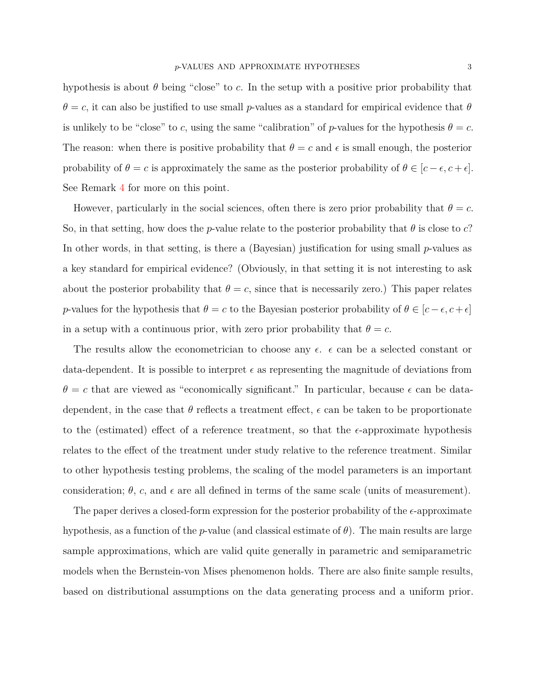hypothesis is about  $\theta$  being "close" to  $c$ . In the setup with a positive prior probability that  $\theta = c$ , it can also be justified to use small *p*-values as a standard for empirical evidence that  $\theta$ is unlikely to be "close" to *c*, using the same "calibration" of *p*-values for the hypothesis  $\theta = c$ . The reason: when there is positive probability that  $\theta = c$  and  $\epsilon$  is small enough, the posterior probability of  $\theta = c$  is approximately the same as the posterior probability of  $\theta \in [c - \epsilon, c + \epsilon]$ . See Remark [4](#page-13-0) for more on this point.

However, particularly in the social sciences, often there is zero prior probability that  $\theta = c$ . So, in that setting, how does the *p*-value relate to the posterior probability that *θ* is close to *c*? In other words, in that setting, is there a (Bayesian) justification for using small *p*-values as a key standard for empirical evidence? (Obviously, in that setting it is not interesting to ask about the posterior probability that  $\theta = c$ , since that is necessarily zero.) This paper relates *p*-values for the hypothesis that  $\theta = c$  to the Bayesian posterior probability of  $\theta \in [c - \epsilon, c + \epsilon]$ in a setup with a continuous prior, with zero prior probability that  $\theta = c$ .

The results allow the econometrician to choose any  $\epsilon$ .  $\epsilon$  can be a selected constant or data-dependent. It is possible to interpret  $\epsilon$  as representing the magnitude of deviations from  $\theta = c$  that are viewed as "economically significant." In particular, because  $\epsilon$  can be datadependent, in the case that  $\theta$  reflects a treatment effect,  $\epsilon$  can be taken to be proportionate to the (estimated) effect of a reference treatment, so that the  $\epsilon$ -approximate hypothesis relates to the effect of the treatment under study relative to the reference treatment. Similar to other hypothesis testing problems, the scaling of the model parameters is an important consideration;  $\theta$ , c, and  $\epsilon$  are all defined in terms of the same scale (units of measurement).

The paper derives a closed-form expression for the posterior probability of the  $\epsilon$ -approximate hypothesis, as a function of the *p*-value (and classical estimate of *θ*). The main results are large sample approximations, which are valid quite generally in parametric and semiparametric models when the Bernstein-von Mises phenomenon holds. There are also finite sample results, based on distributional assumptions on the data generating process and a uniform prior.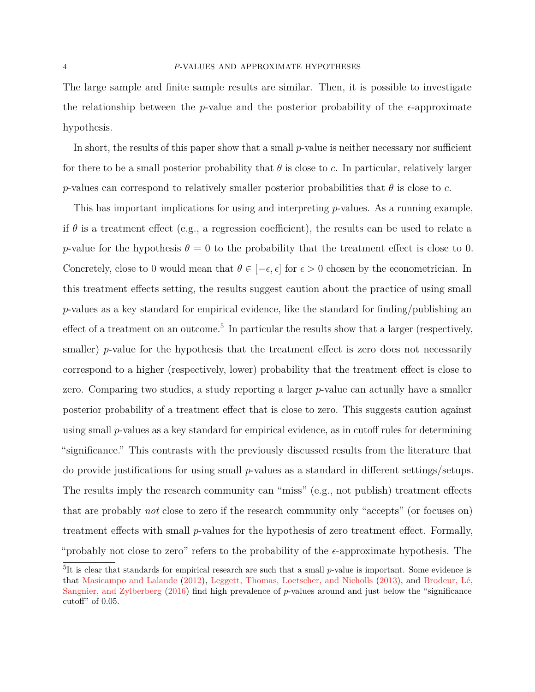The large sample and finite sample results are similar. Then, it is possible to investigate the relationship between the *p*-value and the posterior probability of the  $\epsilon$ -approximate hypothesis.

In short, the results of this paper show that a small *p*-value is neither necessary nor sufficient for there to be a small posterior probability that  $\theta$  is close to *c*. In particular, relatively larger *p*-values can correspond to relatively smaller posterior probabilities that  $\theta$  is close to *c*.

This has important implications for using and interpreting *p*-values. As a running example, if  $\theta$  is a treatment effect (e.g., a regression coefficient), the results can be used to relate a *p*-value for the hypothesis  $\theta = 0$  to the probability that the treatment effect is close to 0. Concretely, close to 0 would mean that  $\theta \in [-\epsilon, \epsilon]$  for  $\epsilon > 0$  chosen by the econometrician. In this treatment effects setting, the results suggest caution about the practice of using small *p*-values as a key standard for empirical evidence, like the standard for finding/publishing an effect of a treatment on an outcome.<sup>[5](#page-3-0)</sup> In particular the results show that a larger (respectively, smaller) *p*-value for the hypothesis that the treatment effect is zero does not necessarily correspond to a higher (respectively, lower) probability that the treatment effect is close to zero. Comparing two studies, a study reporting a larger *p*-value can actually have a smaller posterior probability of a treatment effect that is close to zero. This suggests caution against using small *p*-values as a key standard for empirical evidence, as in cutoff rules for determining "significance." This contrasts with the previously discussed results from the literature that do provide justifications for using small *p*-values as a standard in different settings/setups. The results imply the research community can "miss" (e.g., not publish) treatment effects that are probably *not* close to zero if the research community only "accepts" (or focuses on) treatment effects with small *p*-values for the hypothesis of zero treatment effect. Formally, "probably not close to zero" refers to the probability of the  $\epsilon$ -approximate hypothesis. The

<span id="page-3-0"></span><sup>&</sup>lt;sup>5</sup>It is clear that standards for empirical research are such that a small *p*-value is important. Some evidence is that [Masicampo and Lalande](#page-21-2) [\(2012\)](#page-21-2), [Leggett, Thomas, Loetscher, and Nicholls](#page-21-3) [\(2013\)](#page-21-3), and [Brodeur, Lé,](#page-20-5) [Sangnier, and Zylberberg](#page-20-5) [\(2016\)](#page-20-5) find high prevalence of *p*-values around and just below the "significance cutoff" of 0*.*05.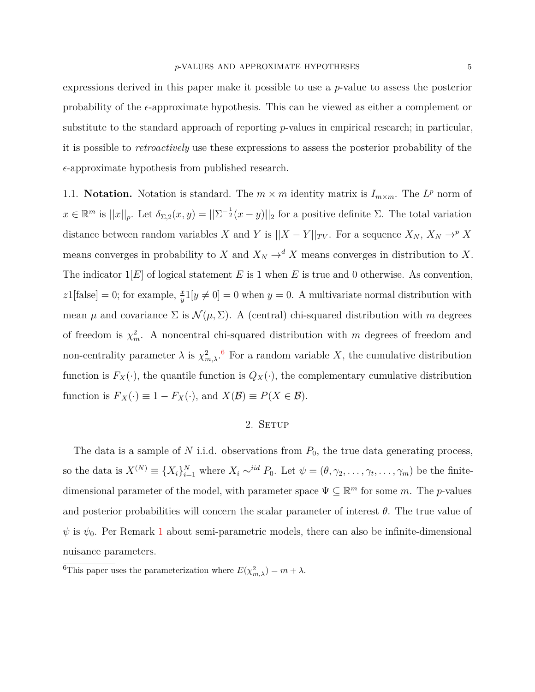expressions derived in this paper make it possible to use a *p*-value to assess the posterior probability of the  $\epsilon$ -approximate hypothesis. This can be viewed as either a complement or substitute to the standard approach of reporting *p*-values in empirical research; in particular, it is possible to *retroactively* use these expressions to assess the posterior probability of the  $\epsilon$ -approximate hypothesis from published research.

1.1. **Notation.** Notation is standard. The  $m \times m$  identity matrix is  $I_{m \times m}$ . The  $L^p$  norm of  $x \in \mathbb{R}^m$  is  $||x||_p$ . Let  $\delta_{\Sigma,2}(x,y) = ||\Sigma^{-\frac{1}{2}}(x-y)||_2$  for a positive definite  $\Sigma$ . The total variation distance between random variables *X* and *Y* is  $||X - Y||_{TV}$ . For a sequence  $X_N$ ,  $X_N \to^p X$ means converges in probability to *X* and  $X_N \to^d X$  means converges in distribution to *X*. The indicator 1[*E*] of logical statement *E* is 1 when *E* is true and 0 otherwise. As convention,  $z1$ [false] = 0; for example,  $\frac{x}{y}$ 1[ $y \neq 0$ ] = 0 when  $y = 0$ . A multivariate normal distribution with mean  $\mu$  and covariance  $\Sigma$  is  $\mathcal{N}(\mu, \Sigma)$ . A (central) chi-squared distribution with *m* degrees of freedom is  $\chi^2_m$ . A noncentral chi-squared distribution with *m* degrees of freedom and non-centrality parameter  $\lambda$  is  $\chi^2_{m,\lambda}$ .<sup>[6](#page-4-0)</sup> For a random variable X, the cumulative distribution function is  $F_X(\cdot)$ , the quantile function is  $Q_X(\cdot)$ , the complementary cumulative distribution function is  $\overline{F}_X(\cdot) \equiv 1 - F_X(\cdot)$ , and  $X(\mathcal{B}) \equiv P(X \in \mathcal{B})$ .

# 2. SETUP

The data is a sample of *N* i.i.d. observations from  $P_0$ , the true data generating process, so the data is  $X^{(N)} \equiv \{X_i\}_{i=1}^N$  where  $X_i \sim^{iid} P_0$ . Let  $\psi = (\theta, \gamma_2, \dots, \gamma_t, \dots, \gamma_m)$  be the finitedimensional parameter of the model, with parameter space  $\Psi \subseteq \mathbb{R}^m$  for some m. The *p*-values and posterior probabilities will concern the scalar parameter of interest  $\theta$ . The true value of  $\psi$  is  $\psi_0$ . Per Remark [1](#page-6-0) about semi-parametric models, there can also be infinite-dimensional nuisance parameters.

<span id="page-4-0"></span><sup>&</sup>lt;sup>6</sup>This paper uses the parameterization where  $E(\chi^2_{m,\lambda}) = m + \lambda$ .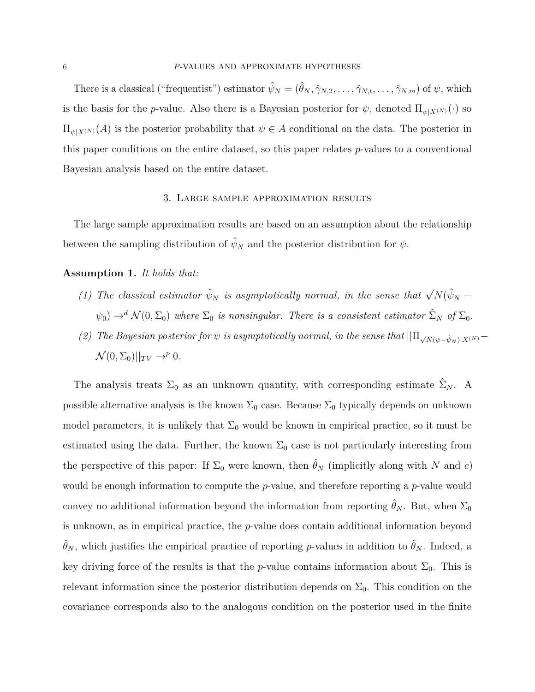There is a classical ("frequentist") estimator  $\hat{\psi}_N = (\hat{\theta}_N, \hat{\gamma}_{N,2}, \dots, \hat{\gamma}_{N,t}, \dots, \hat{\gamma}_{N,m})$  of  $\psi$ , which is the basis for the *p*-value. Also there is a Bayesian posterior for  $\psi$ , denoted  $\Pi_{\psi|X^{(N)}}(\cdot)$  so  $\Pi_{\psi|X^{(N)}}(A)$  is the posterior probability that  $\psi \in A$  conditional on the data. The posterior in this paper conditions on the entire dataset, so this paper relates *p*-values to a conventional Bayesian analysis based on the entire dataset.

## 3. Large sample approximation results

The large sample approximation results are based on an assumption about the relationship between the sampling distribution of  $\hat{\psi}_N$  and the posterior distribution for  $\psi$ .

# <span id="page-5-0"></span>**Assumption 1.** *It holds that:*

- *(1) The classical estimator*  $\hat{\psi}_N$  *is asymptotically normal, in the sense that*  $\sqrt{N}(\hat{\psi}_N \hat{\psi}_N)$  $\psi_0$ )  $\rightarrow$ <sup>*d*</sup>  $\mathcal{N}(0, \Sigma_0)$  where  $\Sigma_0$  *is nonsingular. There is a consistent estimator*  $\hat{\Sigma}_N$  *of*  $\Sigma_0$ *.*
- *(2) The Bayesian posterior for*  $\psi$  *is asymptotically normal, in the sense that*  $||\Pi_{\sqrt{N}(\psi-\hat{\psi}_N)|X^{(N)}} \mathcal{N}(0, \Sigma_0)||_{TV} \rightarrow p 0.$

The analysis treats  $\Sigma_0$  as an unknown quantity, with corresponding estimate  $\hat{\Sigma}_N$ . A possible alternative analysis is the known  $\Sigma_0$  case. Because  $\Sigma_0$  typically depends on unknown model parameters, it is unlikely that  $\Sigma_0$  would be known in empirical practice, so it must be estimated using the data. Further, the known  $\Sigma_0$  case is not particularly interesting from the perspective of this paper: If  $\Sigma_0$  were known, then  $\hat{\theta}_N$  (implicitly along with *N* and *c*) would be enough information to compute the *p*-value, and therefore reporting a *p*-value would convey no additional information beyond the information from reporting  $\hat{\theta}_N$ . But, when  $\Sigma_0$ is unknown, as in empirical practice, the *p*-value does contain additional information beyond  $\hat{\theta}_N$ , which justifies the empirical practice of reporting *p*-values in addition to  $\hat{\theta}_N$ . Indeed, a key driving force of the results is that the *p*-value contains information about  $\Sigma_0$ . This is relevant information since the posterior distribution depends on  $\Sigma_0$ . This condition on the covariance corresponds also to the analogous condition on the posterior used in the finite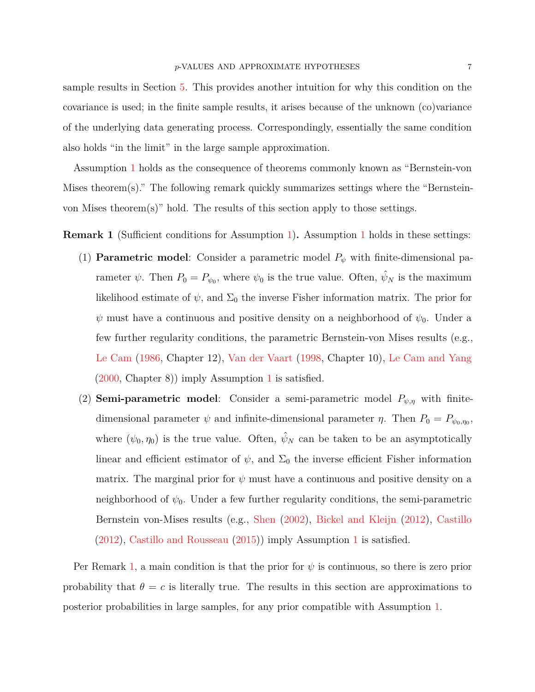sample results in Section [5.](#page-15-0) This provides another intuition for why this condition on the covariance is used; in the finite sample results, it arises because of the unknown (co)variance of the underlying data generating process. Correspondingly, essentially the same condition also holds "in the limit" in the large sample approximation.

Assumption [1](#page-5-0) holds as the consequence of theorems commonly known as "Bernstein-von Mises theorem(s)." The following remark quickly summarizes settings where the "Bernsteinvon Mises theorem(s)" hold. The results of this section apply to those settings.

<span id="page-6-0"></span>**Remark 1** (Sufficient conditions for Assumption [1\)](#page-5-0)**.** Assumption [1](#page-5-0) holds in these settings:

- (1) **Parametric model**: Consider a parametric model  $P_{\psi}$  with finite-dimensional parameter  $\psi$ . Then  $P_0 = P_{\psi_0}$ , where  $\psi_0$  is the true value. Often,  $\hat{\psi}_N$  is the maximum likelihood estimate of  $\psi$ , and  $\Sigma_0$  the inverse Fisher information matrix. The prior for  $\psi$  must have a continuous and positive density on a neighborhood of  $\psi_0$ . Under a few further regularity conditions, the parametric Bernstein-von Mises results (e.g., [Le Cam](#page-21-4) [\(1986,](#page-21-4) Chapter 12), [Van der Vaart](#page-21-5) [\(1998,](#page-21-5) Chapter 10), [Le Cam and Yang](#page-21-6) [\(2000,](#page-21-6) Chapter 8)) imply Assumption [1](#page-5-0) is satisfied.
- (2) **Semi-parametric model**: Consider a semi-parametric model  $P_{\psi,\eta}$  with finitedimensional parameter  $\psi$  and infinite-dimensional parameter  $\eta$ . Then  $P_0 = P_{\psi_0, \eta_0}$ , where  $(\psi_0, \eta_0)$  is the true value. Often,  $\hat{\psi}_N$  can be taken to be an asymptotically linear and efficient estimator of  $\psi$ , and  $\Sigma_0$  the inverse efficient Fisher information matrix. The marginal prior for  $\psi$  must have a continuous and positive density on a neighborhood of  $\psi_0$ . Under a few further regularity conditions, the semi-parametric Bernstein von-Mises results (e.g., [Shen](#page-21-7) [\(2002\)](#page-21-7), [Bickel and Kleijn](#page-20-6) [\(2012\)](#page-20-6), [Castillo](#page-20-7) [\(2012\)](#page-20-7), [Castillo and Rousseau](#page-20-8) [\(2015\)](#page-20-8)) imply Assumption [1](#page-5-0) is satisfied.

Per Remark [1,](#page-6-0) a main condition is that the prior for  $\psi$  is continuous, so there is zero prior probability that  $\theta = c$  is literally true. The results in this section are approximations to posterior probabilities in large samples, for any prior compatible with Assumption [1.](#page-5-0)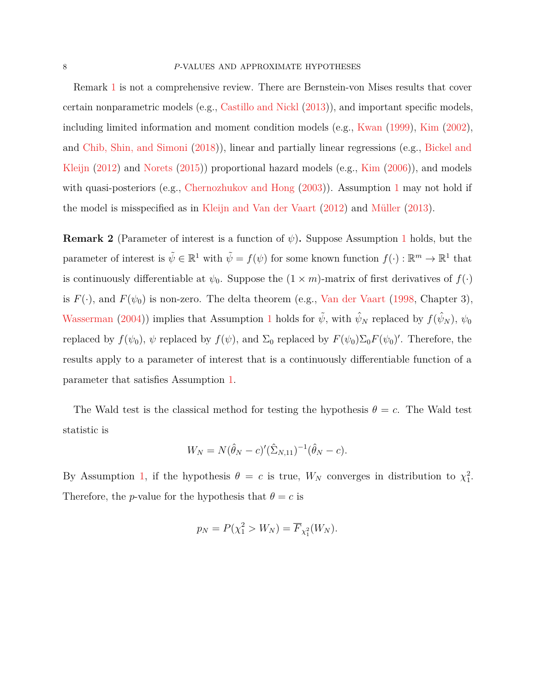Remark [1](#page-6-0) is not a comprehensive review. There are Bernstein-von Mises results that cover certain nonparametric models (e.g., [Castillo and Nickl](#page-20-9) [\(2013\)](#page-20-9)), and important specific models, including limited information and moment condition models (e.g., [Kwan](#page-21-8) [\(1999\)](#page-21-8), [Kim](#page-21-9) [\(2002\)](#page-21-9), and [Chib, Shin, and Simoni](#page-20-10) [\(2018\)](#page-20-10)), linear and partially linear regressions (e.g., [Bickel and](#page-20-6) [Kleijn](#page-20-6) [\(2012\)](#page-20-6) and [Norets](#page-21-10) [\(2015\)](#page-21-10)) proportional hazard models (e.g., [Kim](#page-21-11) [\(2006\)](#page-21-11)), and models with quasi-posteriors (e.g., [Chernozhukov and Hong](#page-20-11)  $(2003)$ ). Assumption [1](#page-5-0) may not hold if the model is misspecified as in [Kleijn and Van der Vaart](#page-21-12) [\(2012\)](#page-21-12) and [Müller](#page-21-13) [\(2013\)](#page-21-13).

**Remark 2** (Parameter of interest is a function of  $\psi$ ). Suppose Assumption [1](#page-5-0) holds, but the parameter of interest is  $\tilde{\psi} \in \mathbb{R}^1$  with  $\tilde{\psi} = f(\psi)$  for some known function  $f(\cdot) : \mathbb{R}^m \to \mathbb{R}^1$  that is continuously differentiable at  $\psi_0$ . Suppose the  $(1 \times m)$ -matrix of first derivatives of  $f(\cdot)$ is  $F(\cdot)$ , and  $F(\psi_0)$  is non-zero. The delta theorem (e.g., [Van der Vaart](#page-21-5) [\(1998,](#page-21-5) Chapter 3), [Wasserman](#page-22-0) [\(2004\)](#page-22-0)) implies that Assumption [1](#page-5-0) holds for  $\tilde{\psi}$ , with  $\hat{\psi}_N$  replaced by  $f(\hat{\psi}_N)$ ,  $\psi_0$ replaced by  $f(\psi_0)$ ,  $\psi$  replaced by  $f(\psi)$ , and  $\Sigma_0$  replaced by  $F(\psi_0)\Sigma_0F(\psi_0)'$ . Therefore, the results apply to a parameter of interest that is a continuously differentiable function of a parameter that satisfies Assumption [1.](#page-5-0)

The Wald test is the classical method for testing the hypothesis  $\theta = c$ . The Wald test statistic is

$$
W_N = N(\hat{\theta}_N - c)'(\hat{\Sigma}_{N,11})^{-1}(\hat{\theta}_N - c).
$$

By Assumption [1,](#page-5-0) if the hypothesis  $\theta = c$  is true,  $W_N$  converges in distribution to  $\chi_1^2$ . Therefore, the *p*-value for the hypothesis that  $\theta = c$  is

$$
p_N = P(\chi_1^2 > W_N) = \overline{F}_{\chi_1^2}(W_N).
$$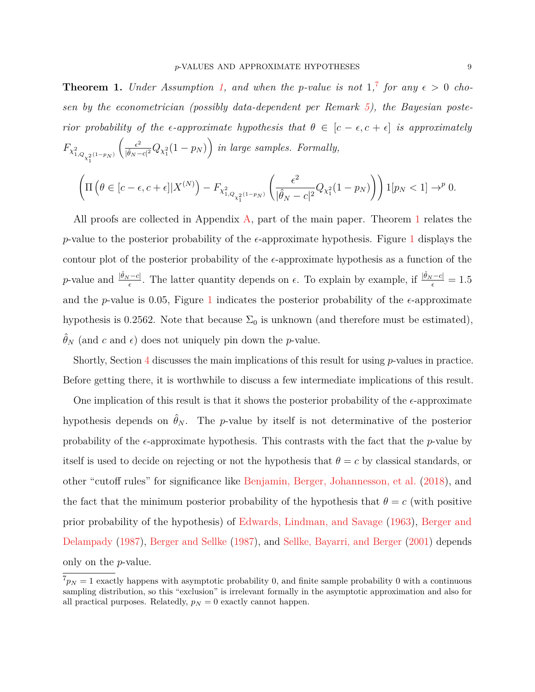<span id="page-8-1"></span>**Theorem 1.** *Under Assumption [1,](#page-5-0) and when the p-value is not*  $1$ ,<sup>[7](#page-8-0)</sup> *for any*  $\epsilon > 0$  *chosen by the econometrician (possibly data-dependent per Remark [5\)](#page-14-0), the Bayesian posterior probability of the*  $\epsilon$ -*approximate hypothesis that*  $\theta \in [c - \epsilon, c + \epsilon]$  *is approximately*  $F_{\chi^2_{1,Q_{\chi^2_1}(1-p_N)}}$  $\int_{-\epsilon^2}$  $\frac{\epsilon^2}{|\hat{\theta}_N - c|^2} Q_{\chi_1^2}(1 - p_N)$  in large samples. Formally,

$$
\left( \Pi \left( \theta \in [c - \epsilon, c + \epsilon] | X^{(N)} \right) - F_{\chi^2_{1, Q_{\chi^2_1}(1 - p_N)}} \left( \frac{\epsilon^2}{|\hat{\theta}_N - c|^2} Q_{\chi^2_1}(1 - p_N) \right) \right) 1_{\mathbb{P}_N} < 1_{\mathbb{P}_N} \to 0.
$$

All proofs are collected in Appendix [A,](#page-17-0) part of the main paper. Theorem [1](#page-8-1) relates the *p*-value to the posterior probability of the  $\epsilon$ -approximate hypothesis. Figure [1](#page-9-0) displays the contour plot of the posterior probability of the  $\epsilon$ -approximate hypothesis as a function of the *p*-value and  $\frac{|\hat{\theta}_N - c|}{\epsilon}$ . The latter quantity depends on  $\epsilon$ . To explain by example, if  $\frac{|\hat{\theta}_N - c|}{\epsilon} = 1.5$ and the *p*-value is 0.05, Figure [1](#page-9-0) indicates the posterior probability of the  $\epsilon$ -approximate hypothesis is 0.2562. Note that because  $\Sigma_0$  is unknown (and therefore must be estimated),  $\hat{\theta}_N$  (and *c* and *e*) does not uniquely pin down the *p*-value.

Shortly, Section [4](#page-11-0) discusses the main implications of this result for using *p*-values in practice. Before getting there, it is worthwhile to discuss a few intermediate implications of this result.

One implication of this result is that it shows the posterior probability of the  $\epsilon$ -approximate hypothesis depends on  $\hat{\theta}_N$ . The *p*-value by itself is not determinative of the posterior probability of the  $\epsilon$ -approximate hypothesis. This contrasts with the fact that the *p*-value by itself is used to decide on rejecting or not the hypothesis that  $\theta = c$  by classical standards, or other "cutoff rules" for significance like [Benjamin, Berger, Johannesson, et al.](#page-19-0) [\(2018\)](#page-19-0), and the fact that the minimum posterior probability of the hypothesis that  $\theta = c$  (with positive prior probability of the hypothesis) of [Edwards, Lindman, and Savage](#page-20-0) [\(1963\)](#page-20-0), [Berger and](#page-20-1) [Delampady](#page-20-1) [\(1987\)](#page-20-1), [Berger and Sellke](#page-20-2) [\(1987\)](#page-20-2), and [Sellke, Bayarri, and Berger](#page-21-0) [\(2001\)](#page-21-0) depends only on the *p*-value.

<span id="page-8-0"></span> $^{7}p_N = 1$  exactly happens with asymptotic probability 0, and finite sample probability 0 with a continuous sampling distribution, so this "exclusion" is irrelevant formally in the asymptotic approximation and also for all practical purposes. Relatedly,  $p_N = 0$  exactly cannot happen.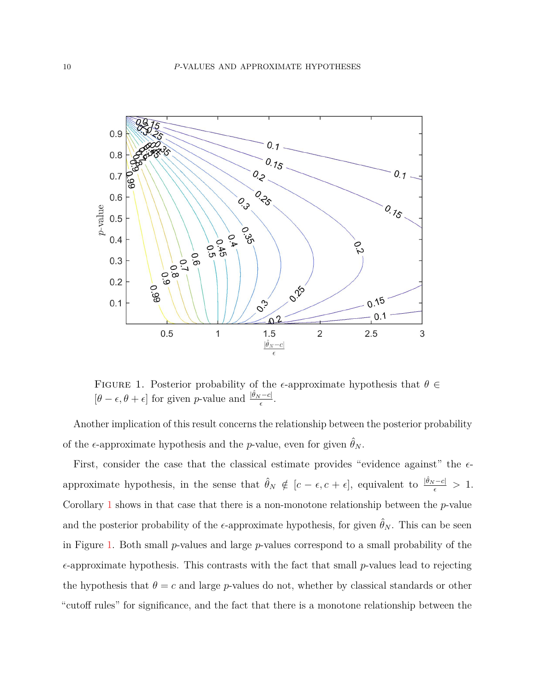<span id="page-9-0"></span>

FIGURE 1. Posterior probability of the  $\epsilon$ -approximate hypothesis that  $\theta \in$  $[\theta - \epsilon, \theta + \epsilon]$  for given *p*-value and  $\frac{|\hat{\theta}_N - c|}{\epsilon}$ .

Another implication of this result concerns the relationship between the posterior probability of the  $\epsilon$ -approximate hypothesis and the *p*-value, even for given  $\hat{\theta}_N$ .

First, consider the case that the classical estimate provides "evidence against" the  $\epsilon$ approximate hypothesis, in the sense that  $\hat{\theta}_N \notin [c - \epsilon, c + \epsilon]$ , equivalent to  $\frac{|\hat{\theta}_N - c|}{\epsilon} > 1$ . Corollary [1](#page-10-0) shows in that case that there is a non-monotone relationship between the *p*-value and the posterior probability of the  $\epsilon$ -approximate hypothesis, for given  $\hat{\theta}_N$ . This can be seen in Figure [1.](#page-9-0) Both small *p*-values and large *p*-values correspond to a small probability of the  $\epsilon$ -approximate hypothesis. This contrasts with the fact that small *p*-values lead to rejecting the hypothesis that  $\theta = c$  and large *p*-values do not, whether by classical standards or other "cutoff rules" for significance, and the fact that there is a monotone relationship between the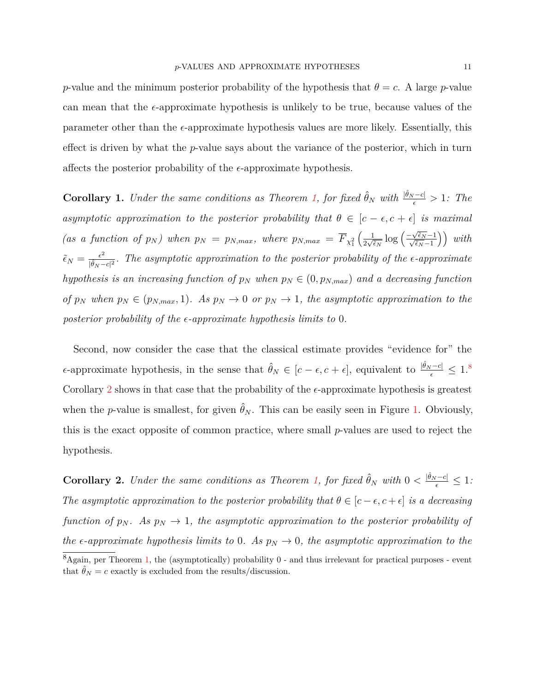*p*-value and the minimum posterior probability of the hypothesis that  $\theta = c$ . A large *p*-value can mean that the  $\epsilon$ -approximate hypothesis is unlikely to be true, because values of the parameter other than the  $\epsilon$ -approximate hypothesis values are more likely. Essentially, this effect is driven by what the *p*-value says about the variance of the posterior, which in turn affects the posterior probability of the  $\epsilon$ -approximate hypothesis.

<span id="page-10-0"></span>**Corollary 1.** *Under the same conditions as Theorem [1,](#page-8-1) for fixed*  $\hat{\theta}_N$  *with*  $\frac{|\hat{\theta}_N - c|}{\epsilon} > 1$ *: The asymptotic approximation to the posterior probability that*  $\theta \in [c - \epsilon, c + \epsilon]$  *is maximal (as a function of*  $p_N$ *) when*  $p_N = p_{N,max}$ *, where*  $p_{N,max} = \overline{F}_{\chi_1^2}$  $\left( \underline{\qquad 1}$  $rac{1}{2\sqrt{\tilde{\epsilon}_N}}\log\left(\frac{-\sqrt{\tilde{\epsilon}_N}-1}{\sqrt{\tilde{\epsilon}_N}-1}\right)$  with  $\tilde{\epsilon}_N = \frac{\epsilon^2}{|\hat{\theta}_N|}$  $\frac{\epsilon^2}{|\hat{\theta}_N - c|^2}$ . The asymptotic approximation to the posterior probability of the  $\epsilon$ -approximate *hypothesis is an increasing function of*  $p_N$  *when*  $p_N \in (0, p_{N,max})$  *and a decreasing function of*  $p_N$  when  $p_N \in (p_{N,max}, 1)$ *. As*  $p_N \to 0$  *or*  $p_N \to 1$ *, the asymptotic approximation to the posterior probability of the -approximate hypothesis limits to* 0*.*

Second, now consider the case that the classical estimate provides "evidence for" the  $\epsilon$ -approximate hypothesis, in the sense that  $\hat{\theta}_N \in [c - \epsilon, c + \epsilon]$ , equivalent to  $\frac{|\hat{\theta}_N - c|}{\epsilon} \leq 1$ .<sup>[8](#page-10-1)</sup> Corollary [2](#page-10-2) shows in that case that the probability of the  $\epsilon$ -approximate hypothesis is greatest when the *p*-value is smallest, for given  $\hat{\theta}_N$ . This can be easily seen in Figure [1.](#page-9-0) Obviously, this is the exact opposite of common practice, where small *p*-values are used to reject the hypothesis.

<span id="page-10-2"></span><span id="page-10-1"></span>**Corollary 2.** *Under the same conditions as Theorem [1,](#page-8-1) for fixed*  $\hat{\theta}_N$  *with*  $0 < \frac{|\hat{\theta}_N - c|}{\epsilon} \leq 1$ *: The asymptotic approximation to the posterior probability that*  $\theta \in [c - \epsilon, c + \epsilon]$  *is a decreasing function of*  $p_N$ . As  $p_N \to 1$ , the asymptotic approximation to the posterior probability of *the*  $\epsilon$ -approximate hypothesis limits to 0*.* As  $p_N \to 0$ , the asymptotic approximation to the  $8_{\text{Again, per Theorem 1, the (asymptotically) probability 0 - and thus irrelevant for practical purposes - event}$  $8_{\text{Again, per Theorem 1, the (asymptotically) probability 0 - and thus irrelevant for practical purposes - event}$  $8_{\text{Again, per Theorem 1, the (asymptotically) probability 0 - and thus irrelevant for practical purposes - event}$ that  $\hat{\theta}_N = c$  exactly is excluded from the results/discussion.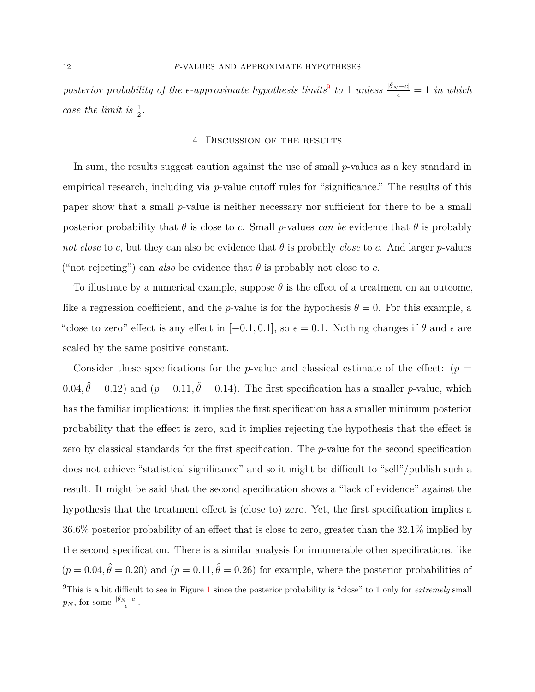$posterior probability of the \epsilon-approximate hypothesis limits^9 to 1 unless \frac{|\hat{\theta}_N - c|}{\epsilon} = 1 in which$  $posterior probability of the \epsilon-approximate hypothesis limits^9 to 1 unless \frac{|\hat{\theta}_N - c|}{\epsilon} = 1 in which$  $posterior probability of the \epsilon-approximate hypothesis limits^9 to 1 unless \frac{|\hat{\theta}_N - c|}{\epsilon} = 1 in which$ *case the limit is*  $\frac{1}{2}$ *.* 

#### 4. Discussion of the results

<span id="page-11-0"></span>In sum, the results suggest caution against the use of small *p*-values as a key standard in empirical research, including via *p*-value cutoff rules for "significance." The results of this paper show that a small *p*-value is neither necessary nor sufficient for there to be a small posterior probability that  $\theta$  is close to *c*. Small *p*-values *can be* evidence that  $\theta$  is probably *not close* to *c*, but they can also be evidence that  $\theta$  is probably *close* to *c*. And larger *p*-values ("not rejecting") can *also* be evidence that  $\theta$  is probably not close to *c*.

To illustrate by a numerical example, suppose  $\theta$  is the effect of a treatment on an outcome, like a regression coefficient, and the *p*-value is for the hypothesis  $\theta = 0$ . For this example, a "close to zero" effect is any effect in  $[-0.1, 0.1]$ , so  $\epsilon = 0.1$ . Nothing changes if  $\theta$  and  $\epsilon$  are scaled by the same positive constant.

<span id="page-11-1"></span>Consider these specifications for the *p*-value and classical estimate of the effect:  $(p =$  $(0.04, \hat{\theta} = 0.12)$  and  $(p = 0.11, \hat{\theta} = 0.14)$ . The first specification has a smaller *p*-value, which has the familiar implications: it implies the first specification has a smaller minimum posterior probability that the effect is zero, and it implies rejecting the hypothesis that the effect is zero by classical standards for the first specification. The *p*-value for the second specification does not achieve "statistical significance" and so it might be difficult to "sell"/publish such a result. It might be said that the second specification shows a "lack of evidence" against the hypothesis that the treatment effect is (close to) zero. Yet, the first specification implies a 36.6% posterior probability of an effect that is close to zero, greater than the 32.1% implied by the second specification. There is a similar analysis for innumerable other specifications, like  $(p = 0.04, \hat{\theta} = 0.20)$  and  $(p = 0.11, \hat{\theta} = 0.26)$  for example, where the posterior probabilities of <sup>9</sup>This is a bit difficult to see in Figure [1](#page-9-0) since the posterior probability is "close" to 1 only for *extremely* small  $p_N$ , for some  $\frac{|\hat{\theta}_N - c|}{\epsilon}$ .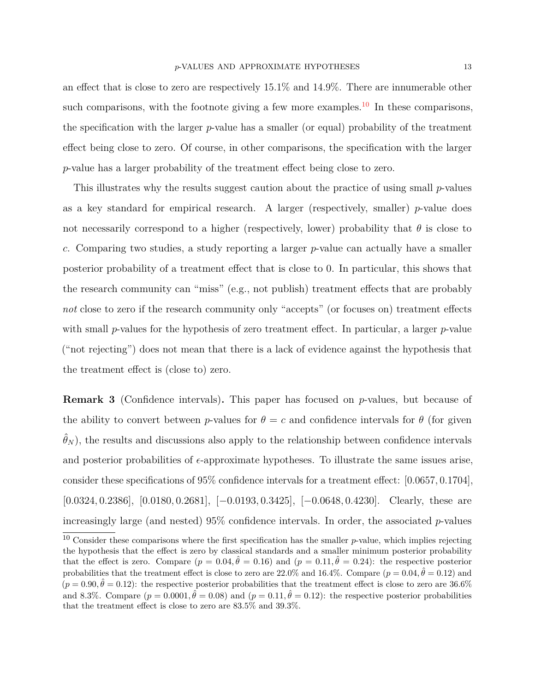an effect that is close to zero are respectively 15.1% and 14.9%. There are innumerable other such comparisons, with the footnote giving a few more examples.<sup>[10](#page-12-0)</sup> In these comparisons, the specification with the larger *p*-value has a smaller (or equal) probability of the treatment effect being close to zero. Of course, in other comparisons, the specification with the larger *p*-value has a larger probability of the treatment effect being close to zero.

This illustrates why the results suggest caution about the practice of using small *p*-values as a key standard for empirical research. A larger (respectively, smaller) *p*-value does not necessarily correspond to a higher (respectively, lower) probability that  $\theta$  is close to *c*. Comparing two studies, a study reporting a larger *p*-value can actually have a smaller posterior probability of a treatment effect that is close to 0. In particular, this shows that the research community can "miss" (e.g., not publish) treatment effects that are probably *not* close to zero if the research community only "accepts" (or focuses on) treatment effects with small *p*-values for the hypothesis of zero treatment effect. In particular, a larger *p*-value ("not rejecting") does not mean that there is a lack of evidence against the hypothesis that the treatment effect is (close to) zero.

**Remark 3** (Confidence intervals)**.** This paper has focused on *p*-values, but because of the ability to convert between *p*-values for  $\theta = c$  and confidence intervals for  $\theta$  (for given  $\hat{\theta}_N$ , the results and discussions also apply to the relationship between confidence intervals and posterior probabilities of  $\epsilon$ -approximate hypotheses. To illustrate the same issues arise, consider these specifications of 95% confidence intervals for a treatment effect: [0*.*0657*,* 0*.*1704], [0*.*0324*,* 0*.*2386], [0*.*0180*,* 0*.*2681], [−0*.*0193*,* 0*.*3425], [−0*.*0648*,* 0*.*4230]. Clearly, these are increasingly large (and nested) 95% confidence intervals. In order, the associated *p*-values

<span id="page-12-0"></span><sup>&</sup>lt;sup>10</sup> Consider these comparisons where the first specification has the smaller  $p$ -value, which implies rejecting the hypothesis that the effect is zero by classical standards and a smaller minimum posterior probability that the effect is zero. Compare  $(p = 0.04, \hat{\theta} = 0.16)$  and  $(p = 0.11, \hat{\theta} = 0.24)$ : the respective posterior probabilities that the treatment effect is close to zero are  $22.0\%$  and  $16.4\%$ . Compare  $(p = 0.04, \hat{\theta} = 0.12)$  and  $(p = 0.90, \hat{\theta} = 0.12)$ : the respective posterior probabilities that the treatment effect is close to zero are 36.6% and 8.3%. Compare  $(p = 0.0001, \hat{\theta} = 0.08)$  and  $(p = 0.11, \hat{\theta} = 0.12)$ : the respective posterior probabilities that the treatment effect is close to zero are 83.5% and 39.3%.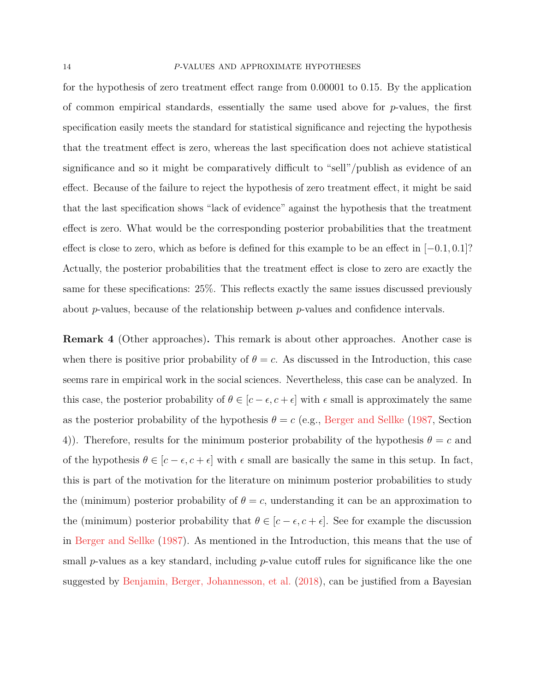#### 14 *P*-VALUES AND APPROXIMATE HYPOTHESES

for the hypothesis of zero treatment effect range from 0*.*00001 to 0*.*15. By the application of common empirical standards, essentially the same used above for *p*-values, the first specification easily meets the standard for statistical significance and rejecting the hypothesis that the treatment effect is zero, whereas the last specification does not achieve statistical significance and so it might be comparatively difficult to "sell"/publish as evidence of an effect. Because of the failure to reject the hypothesis of zero treatment effect, it might be said that the last specification shows "lack of evidence" against the hypothesis that the treatment effect is zero. What would be the corresponding posterior probabilities that the treatment effect is close to zero, which as before is defined for this example to be an effect in [−0*.*1*,* 0*.*1]? Actually, the posterior probabilities that the treatment effect is close to zero are exactly the same for these specifications: 25%. This reflects exactly the same issues discussed previously about *p*-values, because of the relationship between *p*-values and confidence intervals.

<span id="page-13-0"></span>**Remark 4** (Other approaches)**.** This remark is about other approaches. Another case is when there is positive prior probability of  $\theta = c$ . As discussed in the Introduction, this case seems rare in empirical work in the social sciences. Nevertheless, this case can be analyzed. In this case, the posterior probability of  $\theta \in [c - \epsilon, c + \epsilon]$  with  $\epsilon$  small is approximately the same as the posterior probability of the hypothesis  $\theta = c$  (e.g., [Berger and Sellke](#page-20-2) [\(1987,](#page-20-2) Section 4)). Therefore, results for the minimum posterior probability of the hypothesis  $\theta = c$  and of the hypothesis  $\theta \in [c - \epsilon, c + \epsilon]$  with  $\epsilon$  small are basically the same in this setup. In fact, this is part of the motivation for the literature on minimum posterior probabilities to study the (minimum) posterior probability of  $\theta = c$ , understanding it can be an approximation to the (minimum) posterior probability that  $\theta \in [c - \epsilon, c + \epsilon]$ . See for example the discussion in [Berger and Sellke](#page-20-2) [\(1987\)](#page-20-2). As mentioned in the Introduction, this means that the use of small *p*-values as a key standard, including *p*-value cutoff rules for significance like the one suggested by [Benjamin, Berger, Johannesson, et al.](#page-19-0) [\(2018\)](#page-19-0), can be justified from a Bayesian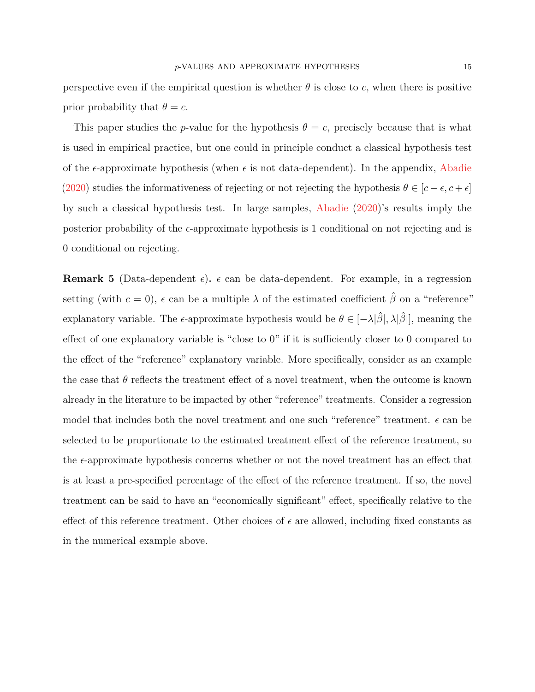perspective even if the empirical question is whether  $\theta$  is close to *c*, when there is positive prior probability that  $\theta = c$ .

This paper studies the *p*-value for the hypothesis  $\theta = c$ , precisely because that is what is used in empirical practice, but one could in principle conduct a classical hypothesis test of the  $\epsilon$ -approximate hypothesis (when  $\epsilon$  is not data-dependent). In the appendix, [Abadie](#page-19-1) [\(2020\)](#page-19-1) studies the informativeness of rejecting or not rejecting the hypothesis  $\theta \in [c - \epsilon, c + \epsilon]$ by such a classical hypothesis test. In large samples, [Abadie](#page-19-1) [\(2020\)](#page-19-1)'s results imply the posterior probability of the  $\epsilon$ -approximate hypothesis is 1 conditional on not rejecting and is 0 conditional on rejecting.

<span id="page-14-0"></span>**Remark 5** (Data-dependent  $\epsilon$ ).  $\epsilon$  can be data-dependent. For example, in a regression setting (with  $c = 0$ ),  $\epsilon$  can be a multiple  $\lambda$  of the estimated coefficient  $\hat{\beta}$  on a "reference" explanatory variable. The  $\epsilon$ -approximate hypothesis would be  $\theta \in [-\lambda|\hat{\beta}|, \lambda|\hat{\beta}|]$ , meaning the effect of one explanatory variable is "close to 0" if it is sufficiently closer to 0 compared to the effect of the "reference" explanatory variable. More specifically, consider as an example the case that  $\theta$  reflects the treatment effect of a novel treatment, when the outcome is known already in the literature to be impacted by other "reference" treatments. Consider a regression model that includes both the novel treatment and one such "reference" treatment.  $\epsilon$  can be selected to be proportionate to the estimated treatment effect of the reference treatment, so the  $\epsilon$ -approximate hypothesis concerns whether or not the novel treatment has an effect that is at least a pre-specified percentage of the effect of the reference treatment. If so, the novel treatment can be said to have an "economically significant" effect, specifically relative to the effect of this reference treatment. Other choices of  $\epsilon$  are allowed, including fixed constants as in the numerical example above.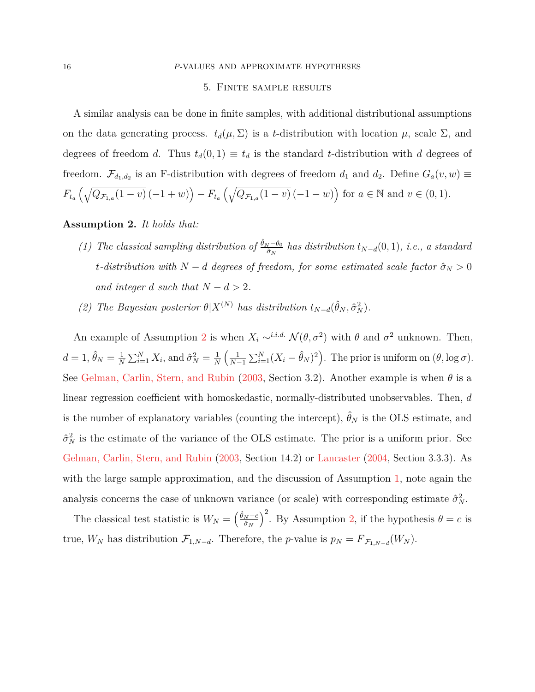#### <span id="page-15-0"></span>16 *P*-VALUES AND APPROXIMATE HYPOTHESES

#### 5. Finite sample results

A similar analysis can be done in finite samples, with additional distributional assumptions on the data generating process.  $t_d(\mu, \Sigma)$  is a *t*-distribution with location  $\mu$ , scale  $\Sigma$ , and degrees of freedom *d*. Thus  $t_d(0,1) \equiv t_d$  is the standard *t*-distribution with *d* degrees of freedom.  $\mathcal{F}_{d_1,d_2}$  is an F-distribution with degrees of freedom  $d_1$  and  $d_2$ . Define  $G_a(v,w) \equiv$  $F_{t_a}\left(\sqrt{Q_{\mathcal{F}_{1,a}(1-v)}(-1+w)}\right) - F_{t_a}\left(\sqrt{Q_{\mathcal{F}_{1,a}(1-v)}(-1-w)}\right)$  for  $a \in \mathbb{N}$  and  $v \in (0,1)$ .

## <span id="page-15-1"></span>**Assumption 2.** *It holds that:*

- *(1) The classical sampling distribution of*  $\frac{\hat{\theta}_N \theta_0}{\hat{\sigma}_N}$  *has distribution*  $t_{N-d}(0,1)$ *, i.e., a standard t*-distribution with  $N - d$  degrees of freedom, for some estimated scale factor  $\hat{\sigma}_N > 0$ *and integer d such that*  $N - d > 2$ *.*
- *(2) The Bayesian posterior*  $\theta | X^{(N)}$  *has distribution*  $t_{N-d}(\hat{\theta}_N, \hat{\sigma}_N^2)$ *.*

An example of Assumption [2](#page-15-1) is when  $X_i \sim^{i.i.d.} \mathcal{N}(\theta, \sigma^2)$  with  $\theta$  and  $\sigma^2$  unknown. Then,  $d=1, \hat{\theta}_N=\frac{1}{N}$  $\frac{1}{N} \sum_{i=1}^{N} X_i$ , and  $\hat{\sigma}_N^2 = \frac{1}{N}$ *N*  $\frac{1}{2}$  $\frac{1}{N-1} \sum_{i=1}^{N} (X_i - \hat{\theta}_N)^2$ . The prior is uniform on  $(\theta, \log \sigma)$ . See [Gelman, Carlin, Stern, and Rubin](#page-20-12) [\(2003,](#page-20-12) Section 3.2). Another example is when *θ* is a linear regression coefficient with homoskedastic, normally-distributed unobservables. Then, *d* is the number of explanatory variables (counting the intercept),  $\hat{\theta}_N$  is the OLS estimate, and  $\hat{\sigma}_N^2$  is the estimate of the variance of the OLS estimate. The prior is a uniform prior. See [Gelman, Carlin, Stern, and Rubin](#page-20-12) [\(2003,](#page-20-12) Section 14.2) or [Lancaster](#page-21-14) [\(2004,](#page-21-14) Section 3.3.3). As with the large sample approximation, and the discussion of Assumption [1,](#page-5-0) note again the analysis concerns the case of unknown variance (or scale) with corresponding estimate  $\hat{\sigma}_N^2$ .

The classical test statistic is  $W_N = \left(\frac{\hat{\theta}_N - c}{\hat{\sigma}_N}\right)$  $\hat{\sigma}_N$  $\int_{0}^{2}$ . By Assumption [2,](#page-15-1) if the hypothesis  $\theta = c$  is true,  $W_N$  has distribution  $\mathcal{F}_{1,N-d}$ . Therefore, the *p*-value is  $p_N = \overline{F}_{\mathcal{F}_{1,N-d}}(W_N)$ .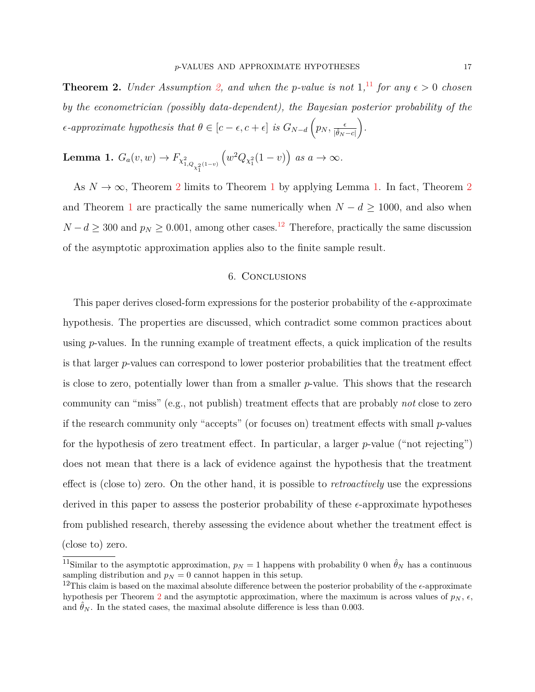<span id="page-16-1"></span>**Theorem 2.** *Under Assumption* [2,](#page-15-1) and when the *p*-value is not  $1,11$  $1,11$  for any  $\epsilon > 0$  chosen *by the econometrician (possibly data-dependent), the Bayesian posterior probability of the*  $\epsilon$ -approximate hypothesis that  $\theta \in [c - \epsilon, c + \epsilon]$  is  $G_{N-d} \left( p_N, \frac{\epsilon}{|\hat{\theta}_N - c|} \right)$ *.*

<span id="page-16-2"></span>Lemma 1.  $G_a(v, w) \to F_{\chi^2_{1, Q_{\chi^2_1}(1-v)}}$  $(w^2 Q_{\chi_1^2}(1-v))$  *as*  $a \to \infty$ *.* 

As  $N \to \infty$ , Theorem [2](#page-16-1) limits to Theorem [1](#page-8-1) by applying Lemma [1.](#page-16-2) In fact, Theorem 2 and Theorem [1](#page-8-1) are practically the same numerically when  $N - d \ge 1000$ , and also when  $N - d \geq 300$  and  $p_N \geq 0.001$ , among other cases.<sup>[12](#page-16-3)</sup> Therefore, practically the same discussion of the asymptotic approximation applies also to the finite sample result.

# 6. Conclusions

This paper derives closed-form expressions for the posterior probability of the  $\epsilon$ -approximate hypothesis. The properties are discussed, which contradict some common practices about using *p*-values. In the running example of treatment effects, a quick implication of the results is that larger *p*-values can correspond to lower posterior probabilities that the treatment effect is close to zero, potentially lower than from a smaller *p*-value. This shows that the research community can "miss" (e.g., not publish) treatment effects that are probably *not* close to zero if the research community only "accepts" (or focuses on) treatment effects with small *p*-values for the hypothesis of zero treatment effect. In particular, a larger *p*-value ("not rejecting") does not mean that there is a lack of evidence against the hypothesis that the treatment effect is (close to) zero. On the other hand, it is possible to *retroactively* use the expressions derived in this paper to assess the posterior probability of these  $\epsilon$ -approximate hypotheses from published research, thereby assessing the evidence about whether the treatment effect is (close to) zero.

<span id="page-16-0"></span><sup>&</sup>lt;sup>11</sup>Similar to the asymptotic approximation,  $p_N = 1$  happens with probability 0 when  $\hat{\theta}_N$  has a continuous sampling distribution and  $p_N = 0$  cannot happen in this setup.

<span id="page-16-3"></span><sup>&</sup>lt;sup>12</sup>This claim is based on the maximal absolute difference between the posterior probability of the  $\epsilon$ -approximate hypothesis per Theorem [2](#page-16-1) and the asymptotic approximation, where the maximum is across values of  $p_N$ ,  $\epsilon$ , and  $\hat{\theta}_N$ . In the stated cases, the maximal absolute difference is less than 0.003.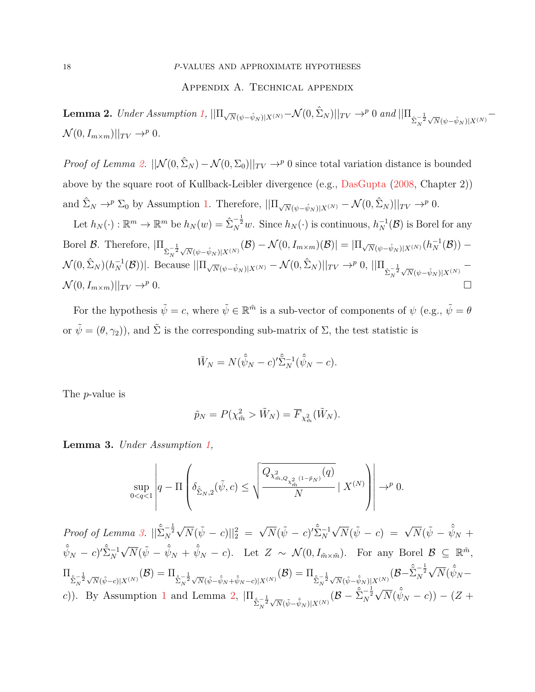## Appendix A. Technical appendix

<span id="page-17-1"></span><span id="page-17-0"></span>**Lemma 2.** *Under Assumption [1,](#page-5-0)*  $||\Pi_{\sqrt{N}(\psi-\hat{\psi}_N)|X^{(N)}}-\mathcal{N}(0,\hat{\Sigma}_N)||_{TV}\to^p 0$  and  $||\Pi_{\hat{\Sigma}_N^{-\frac{1}{2}}}$  $-\frac{1}{\sqrt{N}(\psi-\hat{\psi}_N)|X^{(N)}}$  $\mathcal{N}(0, I_{m \times m})||_{TV} \rightarrow^p 0.$ 

*Proof of Lemma [2.](#page-17-1)*  $||\mathcal{N}(0, \hat{\Sigma}_N) - \mathcal{N}(0, \Sigma_0)||_{TV} \to^p 0$  since total variation distance is bounded above by the square root of Kullback-Leibler divergence (e.g., [DasGupta](#page-20-13) [\(2008,](#page-20-13) Chapter 2)) and  $\hat{\Sigma}_N \to^p \Sigma_0$  by Assumption [1.](#page-5-0) Therefore,  $||\Pi_{\sqrt{N}(\psi-\hat{\psi}_N)|X^{(N)}} - \mathcal{N}(0,\hat{\Sigma}_N)||_{TV} \to^p 0$ . Let  $h_N(\cdot) : \mathbb{R}^m \to \mathbb{R}^m$  be  $h_N(w) = \hat{\Sigma}_N^{-\frac{1}{2}}w$ . Since  $h_N(\cdot)$  is continuous,  $h_N^{-1}(\mathcal{B})$  is Borel for any

Borel B. Therefore,  $|\Pi_{\hat{\Sigma}_N^{-\frac{1}{2}}\sqrt{N}(\psi-\hat{\psi}_N)|X^{(N)}}(\mathcal{B})-\mathcal{N}(0, I_{m\times m})(\mathcal{B})|=|\Pi_{\sqrt{N}(\psi-\hat{\psi}_N)|X^{(N)}}(h_N^{-1}(\mathcal{B})) \mathcal{N}(0, \hat{\Sigma}_N)(h_N^{-1}(\mathcal{B}))$ . Because  $||\Pi_{\sqrt{N}(\psi-\hat{\psi}_N)|X^{(N)}} - \mathcal{N}(0, \hat{\Sigma}_N)||_{TV} \to^p 0, ||\Pi_{\hat{\Sigma}_N^{-\frac{1}{2}}}$  $\sqrt{N}(\psi - \hat{\psi}_N)|X^{(N)}$  –  $\mathcal{N}(0, I_{m \times m})||_{TV} \rightarrow^{p} 0.$ 

For the hypothesis  $\tilde{\psi} = c$ , where  $\tilde{\psi} \in \mathbb{R}^{\tilde{m}}$  is a sub-vector of components of  $\psi$  (e.g.,  $\tilde{\psi} = \theta$ or  $\tilde{\psi} = (\theta, \gamma_2)$ , and  $\tilde{\Sigma}$  is the corresponding sub-matrix of  $\Sigma$ , the test statistic is

$$
\tilde{W}_N = N(\hat{\tilde{\psi}}_N - c)' \hat{\Sigma}_N^{-1}(\hat{\tilde{\psi}}_N - c).
$$

The *p*-value is

$$
\tilde{p}_N = P(\chi^2_{\tilde{m}} > \tilde{W}_N) = \overline{F}_{\chi^2_{\tilde{m}}}(\tilde{W}_N).
$$

<span id="page-17-2"></span>**Lemma 3.** *Under Assumption [1,](#page-5-0)*

$$
\sup_{0
$$

*Proof of Lemma [3.](#page-17-2)*  $\left|\left|\sum_{N}^{\infty}\right|\right|^{2}$  $\sqrt{N}(\tilde{\psi} - c)$ || $_2^2$  =  $\sqrt{N}(\tilde{\psi} - c)^{\prime} \hat{\Sigma}_N^{-1}$  $\sqrt{N}(\tilde{\psi} - c) = \sqrt{N}(\tilde{\psi} - \hat{\tilde{\psi}}_N + c)$  $(\hat{\psi}_N - c)' \hat{\Sigma}_N^{-1}$  $\sqrt{N}(\tilde{\psi} - \hat{\tilde{\psi}}_N + \hat{\tilde{\psi}}_N - c)$ . Let  $Z \sim \mathcal{N}(0, I_{\tilde{m}\times\tilde{m}})$ . For any Borel  $\mathcal{B} \subseteq \mathbb{R}^{\tilde{m}}$ ,  $\Pi_{\hat{\tilde{\Sigma}}^{-\frac{1}{2}}_N}$  $\sqrt{N}(\tilde{\psi}-c)|X^{(N)}}\big(\mathcal{B}\big)=\Pi_{\hat{\hat{\Sigma}}^{-\frac{1}{2}}_N}$  $\sqrt{N}(\tilde{\psi}-\hat{\tilde{\psi}}_N+\hat{\tilde{\psi}}_N-c)|X^{(N)}}\big(\mathcal{B}\big)=\Pi_{\hat{\tilde{\Sigma}}^{-\frac{1}{2}}_N}$  $\sqrt{N}(\tilde{\psi}-\hat{\tilde{\psi}}_N)|X^{(N)}\big(\mathcal{B}-\hat{\tilde{\Sigma}}_N^{-\frac{1}{2}}$ √  $\overline{N}(\hat{\tilde{\psi}}_N$ *c*)). By Assumption [1](#page-5-0) and Lemma [2,](#page-17-1)  $\Pi_{\hat{\Sigma}_N^{-\frac{1}{2}}}$  $\sqrt{N}(\tilde{\psi}-\hat{\tilde{\psi}}_N)|X^{(N)}\big(\mathcal{B}-\hat{\tilde{\Sigma}}_N^{-\frac{1}{2}}$ √  $\overline{N}(\hat{\tilde{\psi}}_N - c)) - (Z + c)$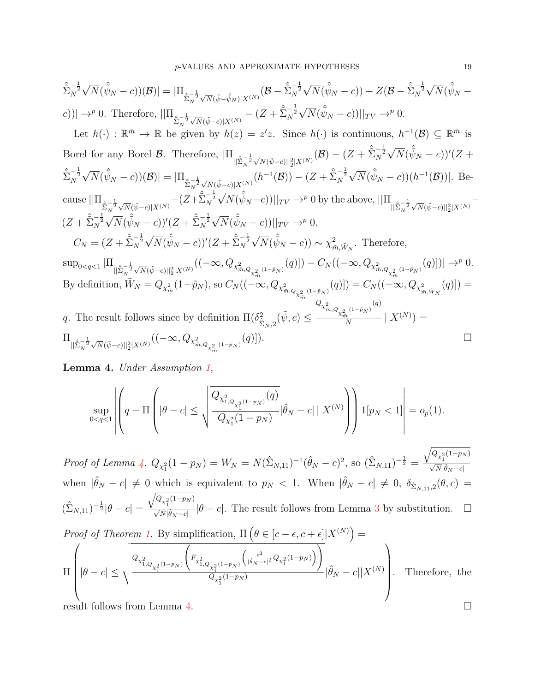$$
\sum_{N}^{\infty-\frac{1}{2}}\sqrt{N}(\hat{\psi}_{N}-c))(B)| = |\Pi_{\hat{\Sigma}_{N}^{-\frac{1}{2}}\sqrt{N}(\hat{\psi}-\hat{\psi}_{N})|X^{(N)}}(\mathcal{B}-\hat{\Sigma}_{N}^{-\frac{1}{2}}\sqrt{N}(\hat{\psi}_{N}-c)) - Z(\mathcal{B}-\hat{\Sigma}_{N}^{-\frac{1}{2}}\sqrt{N}(\hat{\psi}_{N}-c))|
$$
\n
$$
c)| = |\Pi_{\hat{\Sigma}_{N}^{-\frac{1}{2}}\sqrt{N}(\hat{\psi}-\hat{\psi}_{N})|X^{(N)}} - (Z+\hat{\Sigma}_{N}^{-\frac{1}{2}}\sqrt{N}(\hat{\psi}_{N}-c))||_{TV} \rightarrow^{p} 0.
$$
\nLet  $h(\cdot): \mathbb{R}^{\tilde{m}} \rightarrow \mathbb{R}$  be given by  $h(z) = z'z$ . Since  $h(\cdot)$  is continuous,  $h^{-1}(B) \subseteq \mathbb{R}^{\tilde{m}}$  is Borel for any Borel B. Therefore,  $|\Pi_{\|\hat{\Sigma}_{N}^{-\frac{1}{2}}\sqrt{N}(\hat{\psi}-c)||_{2}^{2}|X^{(N)}}(\mathcal{B}) - (Z+\hat{\Sigma}_{N}^{-\frac{1}{2}}\sqrt{N}(\hat{\psi}_{N}-c))'(Z+\hat{\Sigma}_{N}^{-\frac{1}{2}}\sqrt{N}(\hat{\psi}_{N}-c))|B| = |\Pi_{\hat{\Sigma}_{N}^{-\frac{1}{2}}\sqrt{N}(\hat{\psi}-c)|X^{(N)}}(h^{-1}(B)) - (Z+\hat{\Sigma}_{N}^{-\frac{1}{2}}\sqrt{N}(\hat{\psi}_{N}-c))|h^{-1}(B)||.$  Be-  
\ncause  $||\Pi_{\hat{\Sigma}_{N}^{-\frac{1}{2}}\sqrt{N}(\hat{\psi}-c)|X^{(N)}} - (Z+\hat{\Sigma}_{N}^{-\frac{1}{2}}\sqrt{N}(\hat{\psi}_{N}-c))||_{TV} \rightarrow^{p} 0$  by the above,  $||\Pi_{\|\hat{\Sigma}_{N}^{-\frac{1}{2}}\sqrt{N}(\hat{\psi}-c)||_{2}^{2}|X^{(N)}} - (Z+\hat{\Sigma}_{N}^{-\frac{1}{2}}\sqrt{N}(\hat{\psi}_{N}-c))' (Z+\hat{\Sigma}_{N}^{-\frac{1}{2}}\sqrt{N}(\hat{\psi}_{N}-c))||_{TV}$ 

<span id="page-18-0"></span>**Lemma 4.** *Under Assumption [1,](#page-5-0)*

$$
\sup_{0 < q < 1} \left| \left( q - \Pi \left( |\theta - c| \le \sqrt{\frac{Q_{\chi^2_{1,Q_{\chi^2_1}(1-p_N)}}(q)}{Q_{\chi^2_1}(1-p_N)}} |\hat{\theta}_N - c| \mid X^{(N)} \right) \right) \mathbf{1}[p_N < 1] \right| = o_p(1).
$$

*Proof of Lemma [4.](#page-18-0)*  $Q_{\chi_1^2}(1 - p_N) = W_N = N(\hat{\Sigma}_{N,11})^{-1}(\hat{\theta}_N - c)^2$ , so  $(\hat{\Sigma}_{N,11})^{-\frac{1}{2}} =$  $\sqrt{Q_{\chi_1^2}(1-p_N)}$  $\frac{1}{\sqrt{N}|\hat{\theta}_N - c|}$ when  $|\hat{\theta}_N - c| \neq 0$  which is equivalent to  $p_N < 1$ . When  $|\hat{\theta}_N - c| \neq 0$ ,  $\delta_{\hat{\Sigma}_{N,11},2}(\theta, c)$  $(\hat{\Sigma}_{N,11})^{-\frac{1}{2}}|\theta-c|=$  $\sqrt{Q_{\chi_1^2}(1-p_N)}$  $\frac{V_{\chi_1^2}(V_{\text{H}}+N)}{\sqrt{N}|\hat{\theta}_N-c|}|\theta-c|$ . The result follows from Lemma [3](#page-17-2) by substitution.  $\square$ 

Proof of Theorem 1. By simplification, 
$$
\Pi \left( \theta \in [c - \epsilon, c + \epsilon] | X^{(N)} \right) =
$$

$$
\Pi \left( |\theta - c| \le \sqrt{\frac{Q_{\chi_{1,Q_{\chi_1^{2}}(1-p_N)}} \left( F_{\chi_{1,Q_{\chi_1^{2}}(1-p_N)}} \left( \frac{\epsilon^2}{|\theta_N - c|^2} Q_{\chi_1^{2}(1-p_N)} \right) \right)}{Q_{\chi_1^{2}(1-p_N)}} |\hat{\theta}_N - c| | X^{(N)} \right).
$$
 Therefore, the result follows from Lemma 4.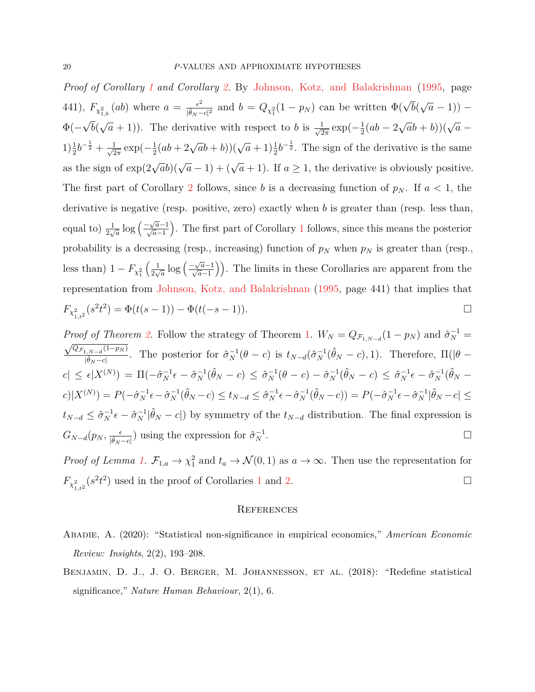*Proof of Corollary [1](#page-10-0) and Corollary [2.](#page-10-2)* By [Johnson, Kotz, and Balakrishnan](#page-20-14) [\(1995,](#page-20-14) page 441),  $F_{\chi^2_{1,b}}(ab)$  where  $a = \frac{\epsilon^2}{|\hat{\theta}_N - \epsilon|}$  $\frac{\epsilon^2}{|\hat{\theta}_N - c|^2}$  and  $b = Q_{\chi_1^2}(1 - p_N)$  can be written  $\Phi(\sqrt{b})$ √  $\overline{a}$  − 1)) –  $\Phi(-$ √ *b*( √  $\overline{a}$  + 1)). The derivative with respect to *b* is  $\frac{1}{\sqrt{2}}$  $rac{1}{2\pi}$  exp( $-\frac{1}{2}$  $rac{1}{2}(ab-2)$  $\sqrt{a}b + b$ ))( $\sqrt{a}$  –  $1)\frac{1}{2}b^{-\frac{1}{2}} + \frac{1}{\sqrt{2}}$  $rac{1}{2\pi}$  exp( $-\frac{1}{2}$  $\frac{1}{2}(ab+2\sqrt{a}b+b)(\sqrt{a}+1)\frac{1}{2}b^{-\frac{1}{2}}$ . The sign of the derivative is the same as the sign of  $\exp(2\sqrt{a}b)(\sqrt{a}-1) + (\sqrt{a}+1)$ . If  $a \ge 1$ , the derivative is obviously positive. The first part of Corollary [2](#page-10-2) follows, since *b* is a decreasing function of  $p<sub>N</sub>$ . If  $a < 1$ , the derivative is negative (resp. positive, zero) exactly when *b* is greater than (resp. less than, equal to)  $\frac{1}{2\sqrt{a}} \log \left( \frac{-\sqrt{a}-1}{\sqrt{a}-1} \right)$  . The first part of Corollary [1](#page-10-0) follows, since this means the posterior probability is a decreasing (resp., increasing) function of *p<sup>N</sup>* when *p<sup>N</sup>* is greater than (resp., less than)  $1 - F_{\chi_1^2}$  $\left( \frac{1}{2} \right)$  $\frac{1}{2\sqrt{a}}\log\left(\frac{-\sqrt{a}-1}{\sqrt{a}-1}\right)$ . The limits in these Corollaries are apparent from the representation from [Johnson, Kotz, and Balakrishnan](#page-20-14) [\(1995,](#page-20-14) page 441) that implies that  $F_{\chi^2_{1,t^2}}(s^2t^2) = \Phi(t(s-1)) - \Phi(t(-s-1)).$ 

*Proof of Theorem [2.](#page-16-1)* Follow the strategy of Theorem [1.](#page-8-1)  $W_N = Q_{\mathcal{F}_{1,N-d}}(1-p_N)$  and  $\hat{\sigma}_N^{-1} =$  $\sqrt{Q_{\mathcal{F}_{1,N- d}}(1-p_N)}$  $\frac{1}{|\hat{\theta}_N-c|}$ . The posterior for  $\hat{\sigma}_N^{-1}(\theta-c)$  is  $t_{N-d}(\hat{\sigma}_N^{-1}(\hat{\theta}_N-c), 1)$ . Therefore,  $\Pi(|\theta-c|)$  $|c| \leq \epsilon |X^{(N)}| = \Pi(-\hat{\sigma}_N^{-1}\epsilon - \hat{\sigma}_N^{-1}(\hat{\theta}_N - c) \leq \hat{\sigma}_N^{-1}(\theta - c) - \hat{\sigma}_N^{-1}(\hat{\theta}_N - c) \leq \hat{\sigma}_N^{-1}\epsilon - \hat{\sigma}_N^{-1}(\hat{\theta}_N - c)$  $c)|X^{(N)})=P(-\hat{\sigma}_N^{-1}\epsilon-\hat{\sigma}_N^{-1}(\hat{\theta}_N-c)\leq t_{N-d}\leq \hat{\sigma}_N^{-1}\epsilon-\hat{\sigma}_N^{-1}(\hat{\theta}_N-c))=P(-\hat{\sigma}_N^{-1}\epsilon-\hat{\sigma}_N^{-1}|\hat{\theta}_N-c|\leq$  $t_{N-d} \leq \hat{\sigma}_N^{-1} \epsilon - \hat{\sigma}_N^{-1} |\hat{\theta}_N - c|$  by symmetry of the  $t_{N-d}$  distribution. The final expression is  $G_{N-d}(p_N, \frac{\epsilon}{|\hat{\theta}_N - c|})$  using the expression for  $\hat{\sigma}_N^{-1}$  $\overline{N}$  .

*Proof of Lemma [1.](#page-16-2)*  $\mathcal{F}_{1,a} \to \chi_1^2$  and  $t_a \to \mathcal{N}(0,1)$  as  $a \to \infty$ . Then use the representation for  $F_{\chi^2_{1,t^2}}(s^2t^2)$  $F_{\chi^2_{1,t^2}}(s^2t^2)$  $F_{\chi^2_{1,t^2}}(s^2t^2)$  used in the proof of Corollaries 1 and [2.](#page-10-2)

#### **REFERENCES**

- <span id="page-19-1"></span>Abadie, A. (2020): "Statistical non-significance in empirical economics," *American Economic Review: Insights*, 2(2), 193–208.
- <span id="page-19-0"></span>BENJAMIN, D. J., J. O. BERGER, M. JOHANNESSON, ET AL. (2018): "Redefine statistical significance," *Nature Human Behaviour*, 2(1), 6.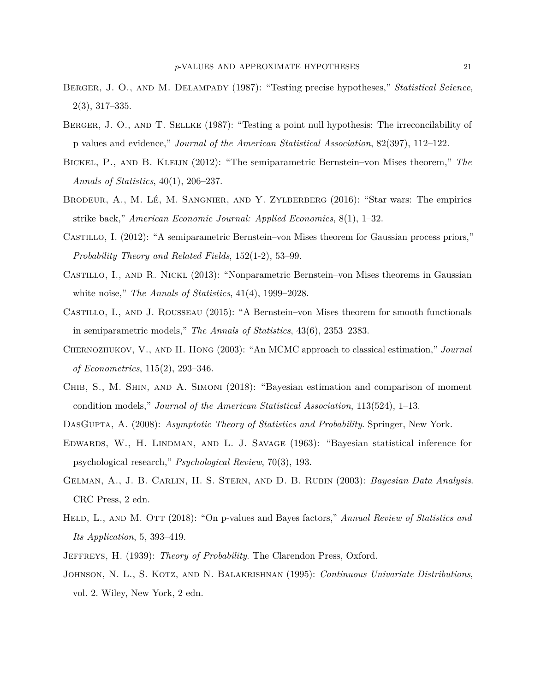- <span id="page-20-1"></span>Berger, J. O., and M. Delampady (1987): "Testing precise hypotheses," *Statistical Science*, 2(3), 317–335.
- <span id="page-20-2"></span>BERGER, J. O., AND T. SELLKE (1987): "Testing a point null hypothesis: The irreconcilability of p values and evidence," *Journal of the American Statistical Association*, 82(397), 112–122.
- <span id="page-20-6"></span>Bickel, P., and B. Kleijn (2012): "The semiparametric Bernstein–von Mises theorem," *The Annals of Statistics*, 40(1), 206–237.
- <span id="page-20-5"></span>BRODEUR,  $A_{\cdot}$ , M. LÉ, M. SANGNIER, AND Y. ZYLBERBERG  $(2016)$ : "Star wars: The empirics strike back," *American Economic Journal: Applied Economics*, 8(1), 1–32.
- <span id="page-20-7"></span>Castillo, I. (2012): "A semiparametric Bernstein–von Mises theorem for Gaussian process priors," *Probability Theory and Related Fields*, 152(1-2), 53–99.
- <span id="page-20-9"></span>Castillo, I., and R. Nickl (2013): "Nonparametric Bernstein–von Mises theorems in Gaussian white noise," *The Annals of Statistics*, 41(4), 1999–2028.
- <span id="page-20-8"></span>Castillo, I., and J. Rousseau (2015): "A Bernstein–von Mises theorem for smooth functionals in semiparametric models," *The Annals of Statistics*, 43(6), 2353–2383.
- <span id="page-20-11"></span>Chernozhukov, V., and H. Hong (2003): "An MCMC approach to classical estimation," *Journal of Econometrics*, 115(2), 293–346.
- <span id="page-20-10"></span>Chib, S., M. Shin, and A. Simoni (2018): "Bayesian estimation and comparison of moment condition models," *Journal of the American Statistical Association*, 113(524), 1–13.
- <span id="page-20-13"></span><span id="page-20-0"></span>DasGupta, A. (2008): *Asymptotic Theory of Statistics and Probability*. Springer, New York.
- EDWARDS, W., H. LINDMAN, AND L. J. SAVAGE (1963): "Bayesian statistical inference for psychological research," *Psychological Review*, 70(3), 193.
- <span id="page-20-12"></span>Gelman, A., J. B. Carlin, H. S. Stern, and D. B. Rubin (2003): *Bayesian Data Analysis*. CRC Press, 2 edn.
- <span id="page-20-4"></span>HELD, L., AND M. OTT (2018): "On p-values and Bayes factors," *Annual Review of Statistics and Its Application*, 5, 393–419.
- <span id="page-20-14"></span><span id="page-20-3"></span>Jeffreys, H. (1939): *Theory of Probability*. The Clarendon Press, Oxford.
- Johnson, N. L., S. Kotz, and N. Balakrishnan (1995): *Continuous Univariate Distributions*, vol. 2. Wiley, New York, 2 edn.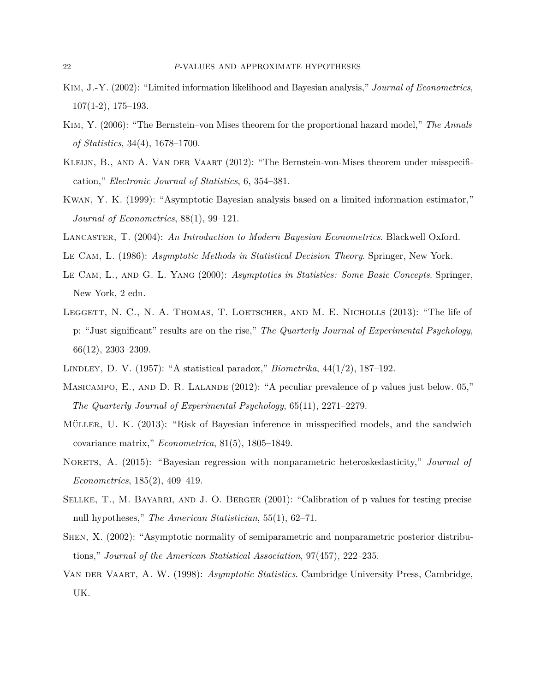- <span id="page-21-9"></span>Kim, J.-Y. (2002): "Limited information likelihood and Bayesian analysis," *Journal of Econometrics*, 107(1-2), 175–193.
- <span id="page-21-11"></span>Kim, Y. (2006): "The Bernstein–von Mises theorem for the proportional hazard model," *The Annals of Statistics*, 34(4), 1678–1700.
- <span id="page-21-12"></span>KLEIJN, B., AND A. VAN DER VAART (2012): "The Bernstein-von-Mises theorem under misspecification," *Electronic Journal of Statistics*, 6, 354–381.
- <span id="page-21-8"></span>Kwan, Y. K. (1999): "Asymptotic Bayesian analysis based on a limited information estimator," *Journal of Econometrics*, 88(1), 99–121.
- <span id="page-21-14"></span><span id="page-21-4"></span>Lancaster, T. (2004): *An Introduction to Modern Bayesian Econometrics*. Blackwell Oxford.
- <span id="page-21-6"></span>Le Cam, L. (1986): *Asymptotic Methods in Statistical Decision Theory*. Springer, New York.
- Le Cam, L., and G. L. Yang (2000): *Asymptotics in Statistics: Some Basic Concepts*. Springer, New York, 2 edn.
- <span id="page-21-3"></span>LEGGETT, N. C., N. A. THOMAS, T. LOETSCHER, AND M. E. NICHOLLS (2013): "The life of p: "Just significant" results are on the rise," *The Quarterly Journal of Experimental Psychology*, 66(12), 2303–2309.
- <span id="page-21-2"></span><span id="page-21-1"></span>Lindley, D. V. (1957): "A statistical paradox," *Biometrika*, 44(1/2), 187–192.
- MASICAMPO, E., AND D. R. LALANDE (2012): "A peculiar prevalence of p values just below. 05," *The Quarterly Journal of Experimental Psychology*, 65(11), 2271–2279.
- <span id="page-21-13"></span>Müller, U. K. (2013): "Risk of Bayesian inference in misspecified models, and the sandwich covariance matrix," *Econometrica*, 81(5), 1805–1849.
- <span id="page-21-10"></span>Norets, A. (2015): "Bayesian regression with nonparametric heteroskedasticity," *Journal of Econometrics*, 185(2), 409–419.
- <span id="page-21-0"></span>SELLKE, T., M. BAYARRI, AND J. O. BERGER (2001): "Calibration of p values for testing precise null hypotheses," *The American Statistician*, 55(1), 62–71.
- <span id="page-21-7"></span>Shen, X. (2002): "Asymptotic normality of semiparametric and nonparametric posterior distributions," *Journal of the American Statistical Association*, 97(457), 222–235.
- <span id="page-21-5"></span>Van der Vaart, A. W. (1998): *Asymptotic Statistics*. Cambridge University Press, Cambridge, UK.